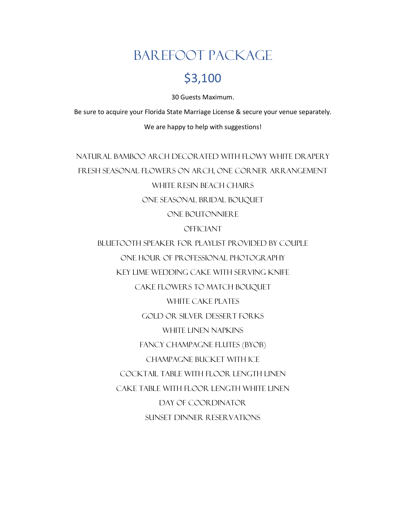# Barefoot Package

### \$3,100

30 Guests Maximum.

Be sure to acquire your Florida State Marriage License & secure your venue separately.

We are happy to help with suggestions!

Natural Bamboo Arch Decorated with Flowy White Drapery Fresh Seasonal Flowers on Arch, One Corner Arrangement White Resin Beach Chairs One Seasonal Bridal Bouquet One Boutonniere

**OFFICIANT** 

Bluetooth Speaker for Playlist Provided By Couple One Hour of Professional Photography Key Lime Wedding Cake with Serving Knife Cake Flowers to Match Bouquet WHITE CAKE PLATES Gold or Silver Dessert Forks White Linen Napkins Fancy Champagne Flutes (BYOB) Champagne Bucket with Ice Cocktail Table with Floor Length Linen Cake Table with Floor Length White Linen Day of Coordinator Sunset Dinner Reservations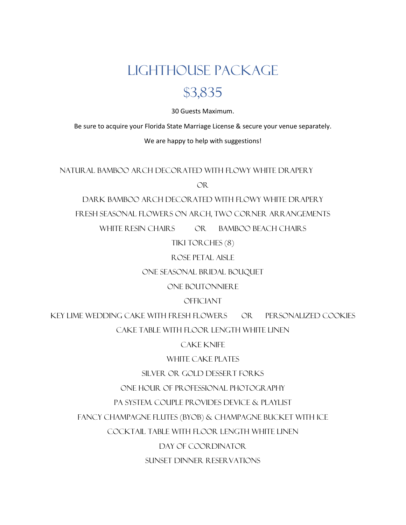# Lighthouse Package

### \$3,835

30 Guests Maximum.

Be sure to acquire your Florida State Marriage License & secure your venue separately.

#### We are happy to help with suggestions!

Natural Bamboo Arch Decorated with Flowy White Drapery

OR

Dark Bamboo Arch Decorated with Flowy White Drapery

Fresh Seasonal Flowers on Arch, Two Corner Arrangements

WHITE RESIN CHAIRS OR BAMBOO BEACH CHAIRS

Tiki Torches (8)

Rose Petal Aisle

One Seasonal Bridal Bouquet

One Boutonniere

**OFFICIANT** 

Key Lime Wedding Cake with Fresh Flowers OR Personalized Cookies

Cake Table with Floor Length White Linen

Cake Knife

WHITE CAKE PLATES

Silver or Gold Dessert Forks

One Hour of Professional Photography

PA System. Couple provides device & playlist

Fancy Champagne Flutes (BYOB) & Champagne Bucket with Ice

Cocktail Table with Floor Length White Linen

Day of Coordinator

Sunset Dinner Reservations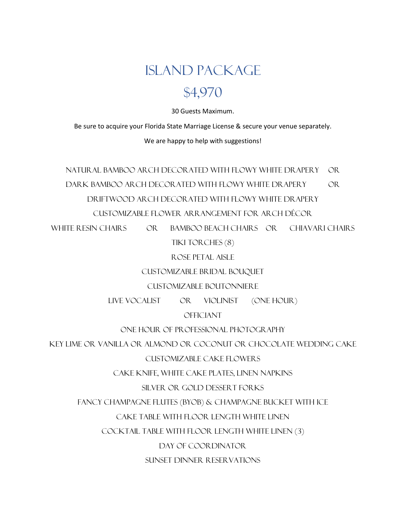# Island Package \$4,970

30 Guests Maximum.

Be sure to acquire your Florida State Marriage License & secure your venue separately.

We are happy to help with suggestions!

NATUR AL BAMBOO AR CH DECOR ATED WITH FLOWY WHITE DR APER Y OR Dark Bamboo Arch Decorated with Flowy White Drapery OR Driftwood Arch Decorated with Flowy White Drapery Customizable Flower Arrangement for Arch Décor

WHITE RESIN CHAIRS OR BAMBOO BEACH CHAIRS OR CHIAVARI CHAIRS

Tiki Torches (8)

Rose Petal Aisle

Customizable Bridal Bouquet

Customizable Boutonniere

Live Vocalist OR Violinist (One Hour)

**OFFICIANT** 

ONE HOUR OF PROFESSIONAL PHOTOGRAPHY

Key Lime OR Vanilla OR Almond OR Coconut OR Chocolate Wedding Cake

Customizable Cake Flowers

Cake Knife, White Cake Plates, Linen Napkins

Silver OR Gold Dessert Forks

Fancy Champagne Flutes (BYOB) & Champagne Bucket with Ice

Cake Table with Floor Length White Linen

Cocktail Table with Floor Length White Linen (3)

Day of coordinator

Sunset Dinner Reservations